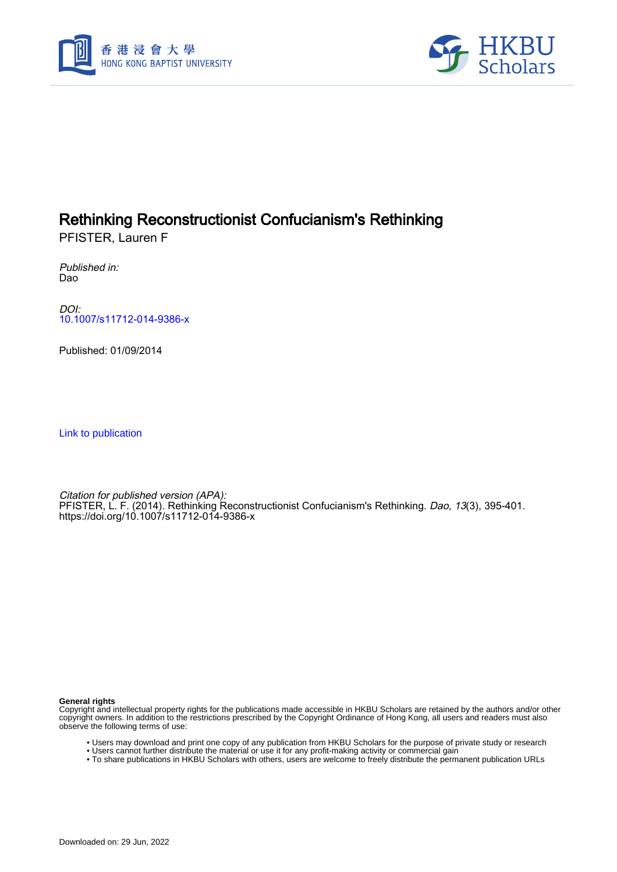



# Rethinking Reconstructionist Confucianism's Rethinking

PFISTER, Lauren F

Published in: Dao

DOI: [10.1007/s11712-014-9386-x](https://doi.org/10.1007/s11712-014-9386-x)

Published: 01/09/2014

[Link to publication](https://scholars.hkbu.edu.hk/en/publications/dd0e115a-7d60-4740-ac6a-edc0a1dbc343)

Citation for published version (APA): PFISTER, L. F. (2014). Rethinking Reconstructionist Confucianism's Rethinking. Dao, 13(3), 395-401. <https://doi.org/10.1007/s11712-014-9386-x>

**General rights**

Copyright and intellectual property rights for the publications made accessible in HKBU Scholars are retained by the authors and/or other copyright owners. In addition to the restrictions prescribed by the Copyright Ordinance of Hong Kong, all users and readers must also observe the following terms of use:

- Users may download and print one copy of any publication from HKBU Scholars for the purpose of private study or research
- Users cannot further distribute the material or use it for any profit-making activity or commercial gain
- To share publications in HKBU Scholars with others, users are welcome to freely distribute the permanent publication URLs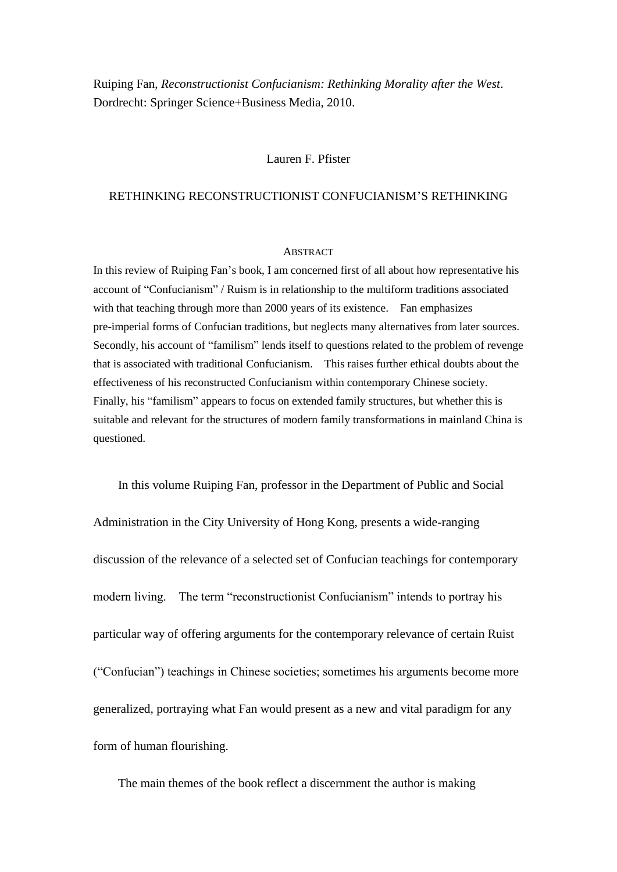Ruiping Fan, *Reconstructionist Confucianism: Rethinking Morality after the West*. Dordrecht: Springer Science+Business Media, 2010.

## Lauren F. Pfister

### RETHINKING RECONSTRUCTIONIST CONFUCIANISM'S RETHINKING

#### **ABSTRACT**

In this review of Ruiping Fan's book, I am concerned first of all about how representative his account of "Confucianism" / Ruism is in relationship to the multiform traditions associated with that teaching through more than 2000 years of its existence. Fan emphasizes pre-imperial forms of Confucian traditions, but neglects many alternatives from later sources. Secondly, his account of "familism" lends itself to questions related to the problem of revenge that is associated with traditional Confucianism. This raises further ethical doubts about the effectiveness of his reconstructed Confucianism within contemporary Chinese society. Finally, his "familism" appears to focus on extended family structures, but whether this is suitable and relevant for the structures of modern family transformations in mainland China is questioned.

In this volume Ruiping Fan, professor in the Department of Public and Social Administration in the City University of Hong Kong, presents a wide-ranging discussion of the relevance of a selected set of Confucian teachings for contemporary modern living. The term "reconstructionist Confucianism" intends to portray his particular way of offering arguments for the contemporary relevance of certain Ruist ("Confucian") teachings in Chinese societies; sometimes his arguments become more generalized, portraying what Fan would present as a new and vital paradigm for any form of human flourishing.

The main themes of the book reflect a discernment the author is making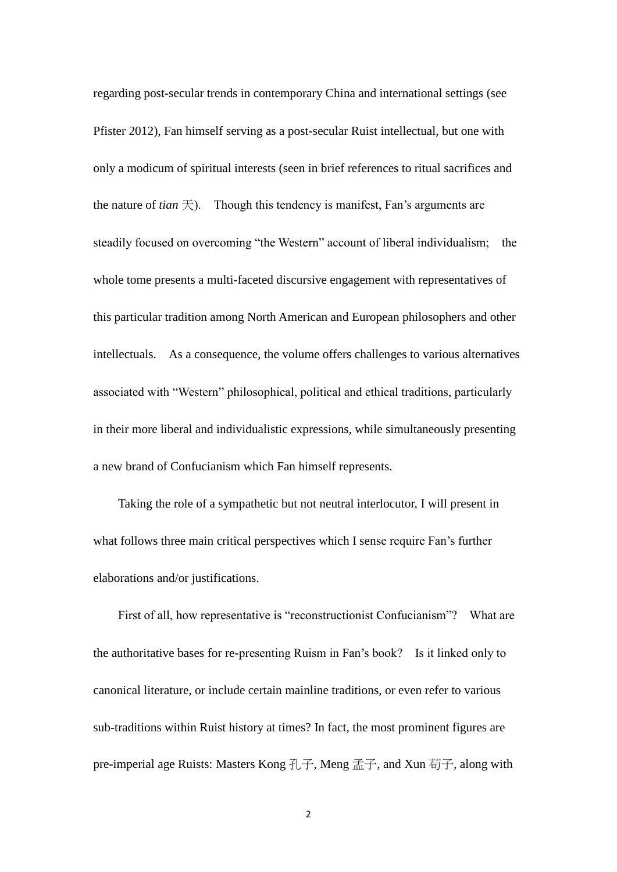regarding post-secular trends in contemporary China and international settings (see Pfister 2012), Fan himself serving as a post-secular Ruist intellectual, but one with only a modicum of spiritual interests (seen in brief references to ritual sacrifices and the nature of *tian*  $\pm$ ). Though this tendency is manifest, Fan's arguments are steadily focused on overcoming "the Western" account of liberal individualism; the whole tome presents a multi-faceted discursive engagement with representatives of this particular tradition among North American and European philosophers and other intellectuals. As a consequence, the volume offers challenges to various alternatives associated with "Western" philosophical, political and ethical traditions, particularly in their more liberal and individualistic expressions, while simultaneously presenting a new brand of Confucianism which Fan himself represents.

Taking the role of a sympathetic but not neutral interlocutor, I will present in what follows three main critical perspectives which I sense require Fan's further elaborations and/or justifications.

First of all, how representative is "reconstructionist Confucianism"? What are the authoritative bases for re-presenting Ruism in Fan's book? Is it linked only to canonical literature, or include certain mainline traditions, or even refer to various sub-traditions within Ruist history at times? In fact, the most prominent figures are pre-imperial age Ruists: Masters Kong 孔子, Meng 孟子, and Xun 荀子, along with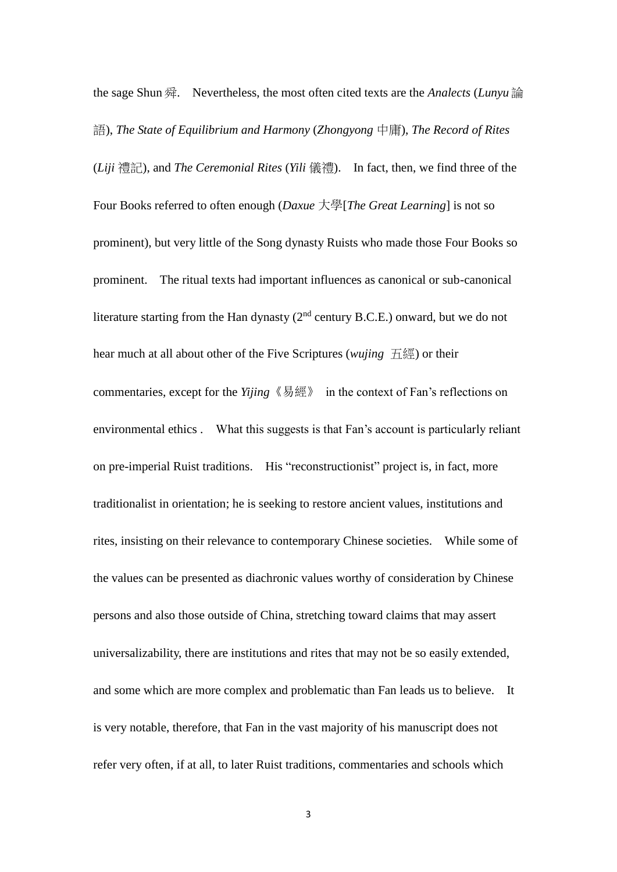the sage Shun 舜. Nevertheless, the most often cited texts are the *Analects* (*Lunyu* 論 語), *The State of Equilibrium and Harmony* (*Zhongyong* 中庸), *The Record of Rites* (*Liji* 禮記), and *The Ceremonial Rites* (*Yili* 儀禮). In fact, then, we find three of the Four Books referred to often enough (*Daxue* 大學[*The Great Learning*] is not so prominent), but very little of the Song dynasty Ruists who made those Four Books so prominent. The ritual texts had important influences as canonical or sub-canonical literature starting from the Han dynasty  $(2<sup>nd</sup>$  century B.C.E.) onward, but we do not hear much at all about other of the Five Scriptures (*wujing* 五經) or their commentaries, except for the *Yijing*《易經》 in the context of Fan's reflections on environmental ethics . What this suggests is that Fan's account is particularly reliant on pre-imperial Ruist traditions. His "reconstructionist" project is, in fact, more traditionalist in orientation; he is seeking to restore ancient values, institutions and rites, insisting on their relevance to contemporary Chinese societies. While some of the values can be presented as diachronic values worthy of consideration by Chinese persons and also those outside of China, stretching toward claims that may assert universalizability, there are institutions and rites that may not be so easily extended, and some which are more complex and problematic than Fan leads us to believe. It is very notable, therefore, that Fan in the vast majority of his manuscript does not refer very often, if at all, to later Ruist traditions, commentaries and schools which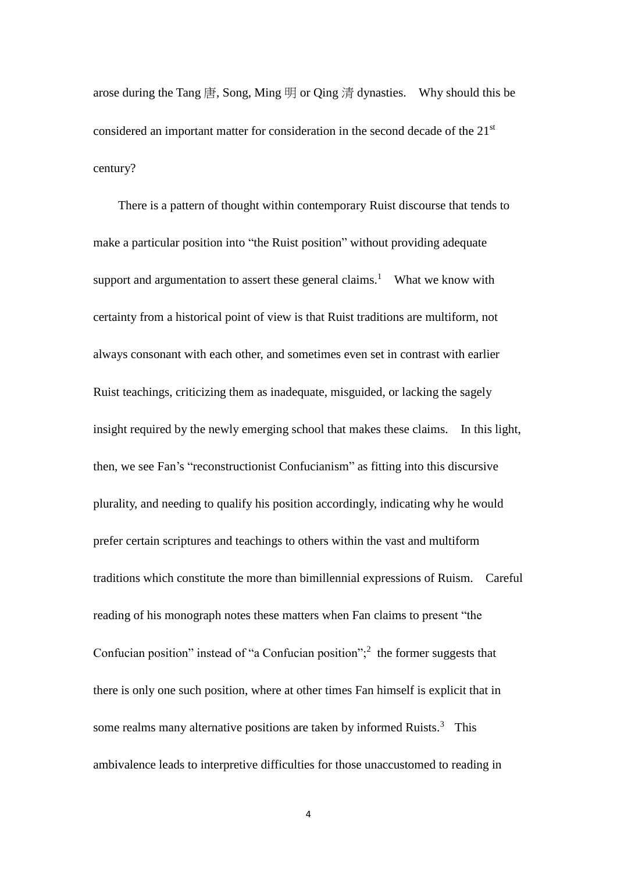arose during the Tang  $\ddot{\text{H}}$ , Song, Ming  $\ddot{\text{H}}$  or Qing  $\ddot{\text{H}}$  dynasties. Why should this be considered an important matter for consideration in the second decade of the 21st century?

There is a pattern of thought within contemporary Ruist discourse that tends to make a particular position into "the Ruist position" without providing adequate support and argumentation to assert these general claims.<sup>1</sup> What we know with certainty from a historical point of view is that Ruist traditions are multiform, not always consonant with each other, and sometimes even set in contrast with earlier Ruist teachings, criticizing them as inadequate, misguided, or lacking the sagely insight required by the newly emerging school that makes these claims. In this light, then, we see Fan's "reconstructionist Confucianism" as fitting into this discursive plurality, and needing to qualify his position accordingly, indicating why he would prefer certain scriptures and teachings to others within the vast and multiform traditions which constitute the more than bimillennial expressions of Ruism. Careful reading of his monograph notes these matters when Fan claims to present "the Confucian position" instead of "a Confucian position";<sup>2</sup> the former suggests that there is only one such position, where at other times Fan himself is explicit that in some realms many alternative positions are taken by informed Ruists.<sup>3</sup> This ambivalence leads to interpretive difficulties for those unaccustomed to reading in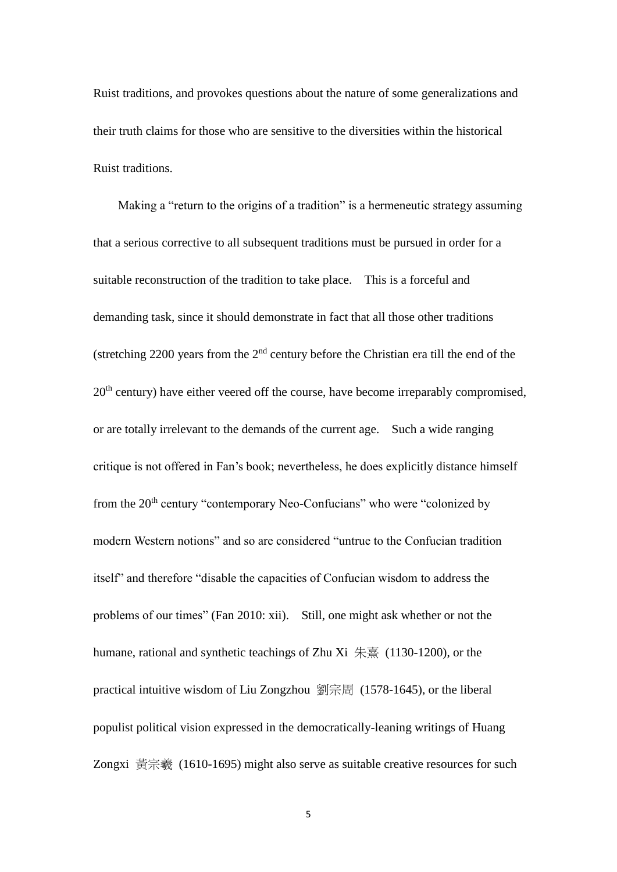Ruist traditions, and provokes questions about the nature of some generalizations and their truth claims for those who are sensitive to the diversities within the historical Ruist traditions.

Making a "return to the origins of a tradition" is a hermeneutic strategy assuming that a serious corrective to all subsequent traditions must be pursued in order for a suitable reconstruction of the tradition to take place. This is a forceful and demanding task, since it should demonstrate in fact that all those other traditions (stretching 2200 years from the  $2<sup>nd</sup>$  century before the Christian era till the end of the 20<sup>th</sup> century) have either veered off the course, have become irreparably compromised, or are totally irrelevant to the demands of the current age. Such a wide ranging critique is not offered in Fan's book; nevertheless, he does explicitly distance himself from the 20<sup>th</sup> century "contemporary Neo-Confucians" who were "colonized by modern Western notions" and so are considered "untrue to the Confucian tradition itself" and therefore "disable the capacities of Confucian wisdom to address the problems of our times" (Fan 2010: xii). Still, one might ask whether or not the humane, rational and synthetic teachings of Zhu Xi 朱熹 (1130-1200), or the practical intuitive wisdom of Liu Zongzhou 劉宗周 (1578-1645), or the liberal populist political vision expressed in the democratically-leaning writings of Huang Zongxi 黃宗羲 (1610-1695) might also serve as suitable creative resources for such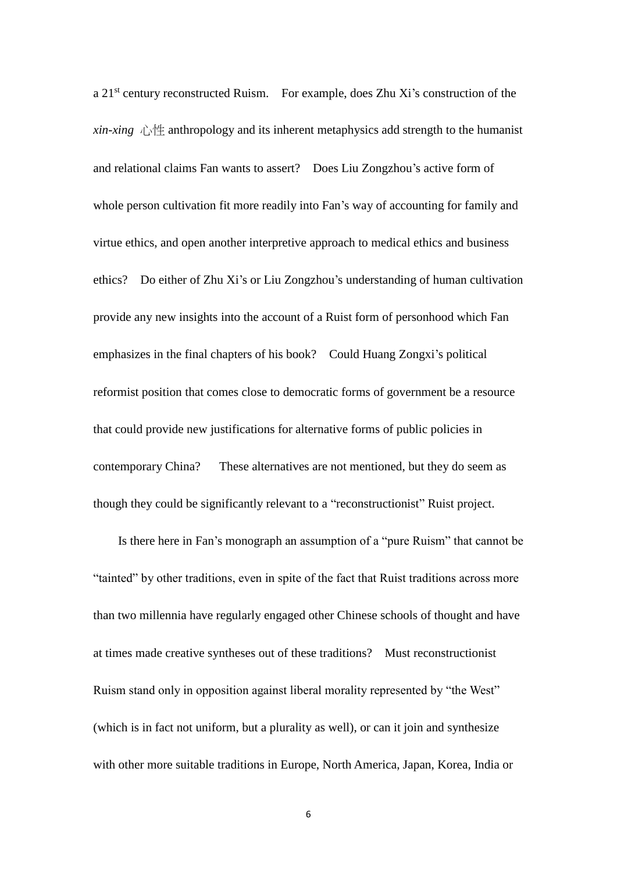a 21st century reconstructed Ruism. For example, does Zhu Xi's construction of the *xin-xing*  $\bigwedge^{\bullet} \left( \frac{1}{2} \right)$  anthropology and its inherent metaphysics add strength to the humanist and relational claims Fan wants to assert? Does Liu Zongzhou's active form of whole person cultivation fit more readily into Fan's way of accounting for family and virtue ethics, and open another interpretive approach to medical ethics and business ethics? Do either of Zhu Xi's or Liu Zongzhou's understanding of human cultivation provide any new insights into the account of a Ruist form of personhood which Fan emphasizes in the final chapters of his book? Could Huang Zongxi's political reformist position that comes close to democratic forms of government be a resource that could provide new justifications for alternative forms of public policies in contemporary China? These alternatives are not mentioned, but they do seem as though they could be significantly relevant to a "reconstructionist" Ruist project.

Is there here in Fan's monograph an assumption of a "pure Ruism" that cannot be "tainted" by other traditions, even in spite of the fact that Ruist traditions across more than two millennia have regularly engaged other Chinese schools of thought and have at times made creative syntheses out of these traditions? Must reconstructionist Ruism stand only in opposition against liberal morality represented by "the West" (which is in fact not uniform, but a plurality as well), or can it join and synthesize with other more suitable traditions in Europe, North America, Japan, Korea, India or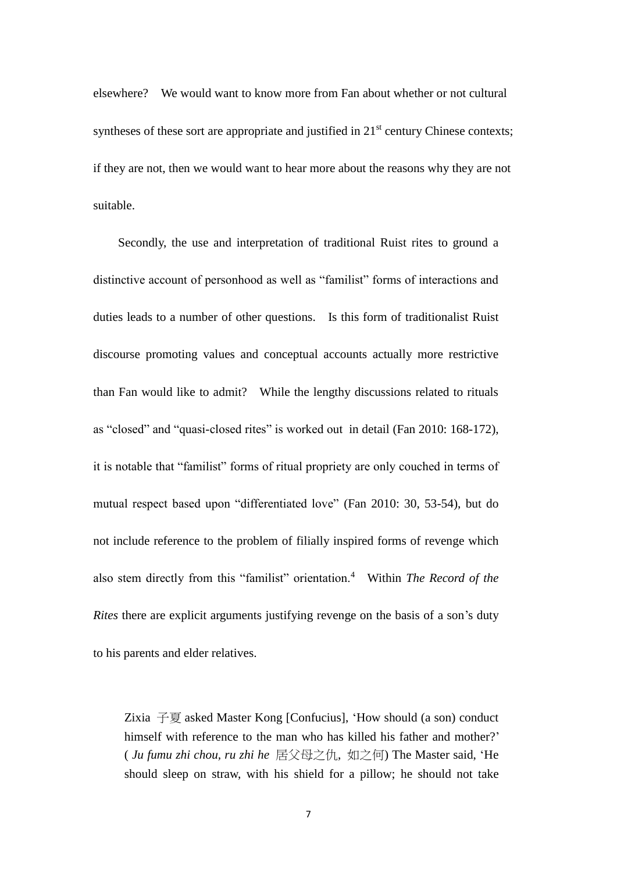elsewhere? We would want to know more from Fan about whether or not cultural syntheses of these sort are appropriate and justified in  $21<sup>st</sup>$  century Chinese contexts; if they are not, then we would want to hear more about the reasons why they are not suitable.

Secondly, the use and interpretation of traditional Ruist rites to ground a distinctive account of personhood as well as "familist" forms of interactions and duties leads to a number of other questions. Is this form of traditionalist Ruist discourse promoting values and conceptual accounts actually more restrictive than Fan would like to admit? While the lengthy discussions related to rituals as "closed" and "quasi-closed rites" is worked out in detail (Fan 2010: 168-172), it is notable that "familist" forms of ritual propriety are only couched in terms of mutual respect based upon "differentiated love" (Fan 2010: 30, 53-54), but do not include reference to the problem of filially inspired forms of revenge which also stem directly from this "familist" orientation.<sup>4</sup> Within *The Record of the Rites* there are explicit arguments justifying revenge on the basis of a son's duty to his parents and elder relatives.

Zixia 子夏 asked Master Kong [Confucius], 'How should (a son) conduct himself with reference to the man who has killed his father and mother?' ( *Ju fumu zhi chou, ru zhi he* 居父母之仇, 如之何) The Master said, 'He should sleep on straw, with his shield for a pillow; he should not take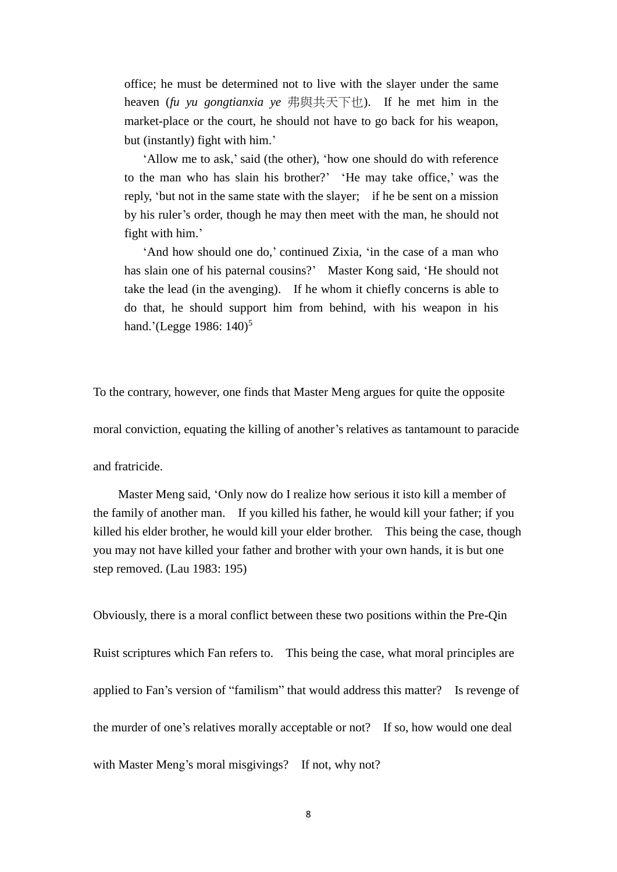office; he must be determined not to live with the slayer under the same heaven (*fu yu gongtianxia ye* 弗與共天下也). If he met him in the market-place or the court, he should not have to go back for his weapon, but (instantly) fight with him.'

'Allow me to ask,' said (the other), 'how one should do with reference to the man who has slain his brother?' 'He may take office,' was the reply, 'but not in the same state with the slayer; if he be sent on a mission by his ruler's order, though he may then meet with the man, he should not fight with him.'

'And how should one do,' continued Zixia, 'in the case of a man who has slain one of his paternal cousins?' Master Kong said, 'He should not take the lead (in the avenging). If he whom it chiefly concerns is able to do that, he should support him from behind, with his weapon in his hand.'(Legge 1986: 140)<sup>5</sup>

To the contrary, however, one finds that Master Meng argues for quite the opposite

moral conviction, equating the killing of another's relatives as tantamount to paracide

and fratricide.

Master Meng said, 'Only now do I realize how serious it isto kill a member of the family of another man. If you killed his father, he would kill your father; if you killed his elder brother, he would kill your elder brother. This being the case, though you may not have killed your father and brother with your own hands, it is but one step removed. (Lau 1983: 195)

Obviously, there is a moral conflict between these two positions within the Pre-Qin Ruist scriptures which Fan refers to. This being the case, what moral principles are applied to Fan's version of "familism" that would address this matter? Is revenge of the murder of one's relatives morally acceptable or not? If so, how would one deal with Master Meng's moral misgivings? If not, why not?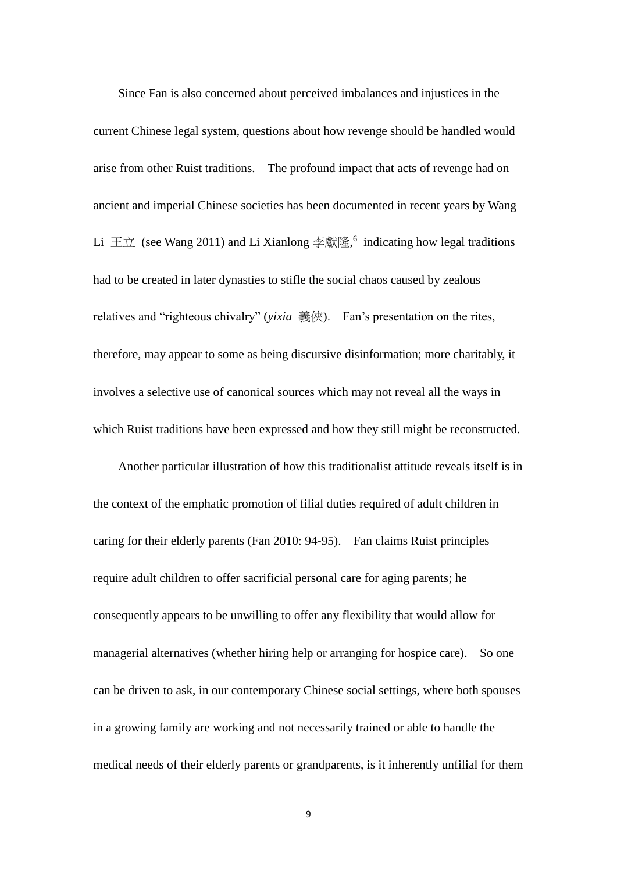Since Fan is also concerned about perceived imbalances and injustices in the current Chinese legal system, questions about how revenge should be handled would arise from other Ruist traditions. The profound impact that acts of revenge had on ancient and imperial Chinese societies has been documented in recent years by Wang Li  $\pm \pi$  (see Wang 2011) and Li Xianlong 李獻隆,<sup>6</sup> indicating how legal traditions had to be created in later dynasties to stifle the social chaos caused by zealous relatives and "righteous chivalry" (*yixia* 義俠). Fan's presentation on the rites, therefore, may appear to some as being discursive disinformation; more charitably, it involves a selective use of canonical sources which may not reveal all the ways in which Ruist traditions have been expressed and how they still might be reconstructed.

Another particular illustration of how this traditionalist attitude reveals itself is in the context of the emphatic promotion of filial duties required of adult children in caring for their elderly parents (Fan 2010: 94-95). Fan claims Ruist principles require adult children to offer sacrificial personal care for aging parents; he consequently appears to be unwilling to offer any flexibility that would allow for managerial alternatives (whether hiring help or arranging for hospice care). So one can be driven to ask, in our contemporary Chinese social settings, where both spouses in a growing family are working and not necessarily trained or able to handle the medical needs of their elderly parents or grandparents, is it inherently unfilial for them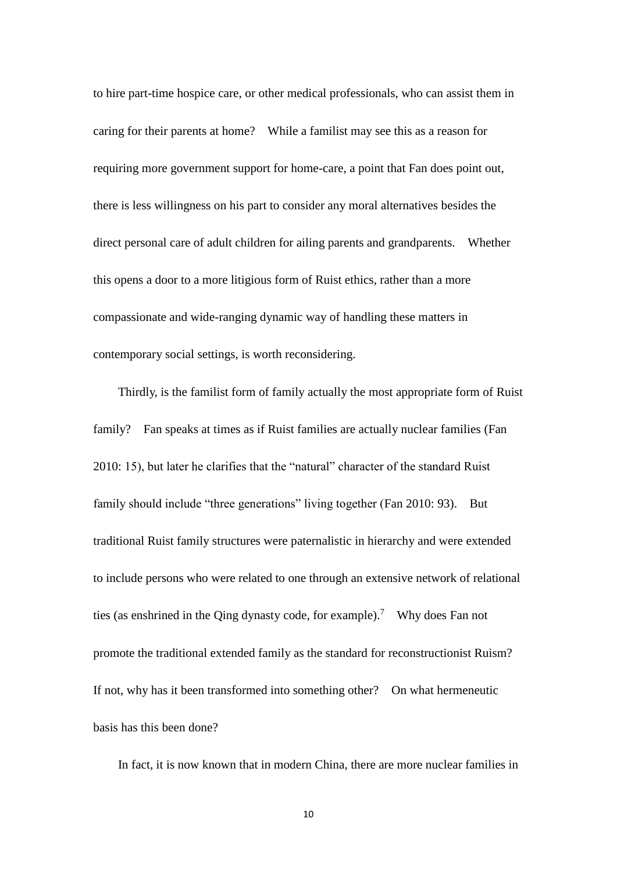to hire part-time hospice care, or other medical professionals, who can assist them in caring for their parents at home? While a familist may see this as a reason for requiring more government support for home-care, a point that Fan does point out, there is less willingness on his part to consider any moral alternatives besides the direct personal care of adult children for ailing parents and grandparents. Whether this opens a door to a more litigious form of Ruist ethics, rather than a more compassionate and wide-ranging dynamic way of handling these matters in contemporary social settings, is worth reconsidering.

Thirdly, is the familist form of family actually the most appropriate form of Ruist family? Fan speaks at times as if Ruist families are actually nuclear families (Fan 2010: 15), but later he clarifies that the "natural" character of the standard Ruist family should include "three generations" living together (Fan 2010: 93). But traditional Ruist family structures were paternalistic in hierarchy and were extended to include persons who were related to one through an extensive network of relational ties (as enshrined in the Qing dynasty code, for example).<sup>7</sup> Why does Fan not promote the traditional extended family as the standard for reconstructionist Ruism? If not, why has it been transformed into something other? On what hermeneutic basis has this been done?

In fact, it is now known that in modern China, there are more nuclear families in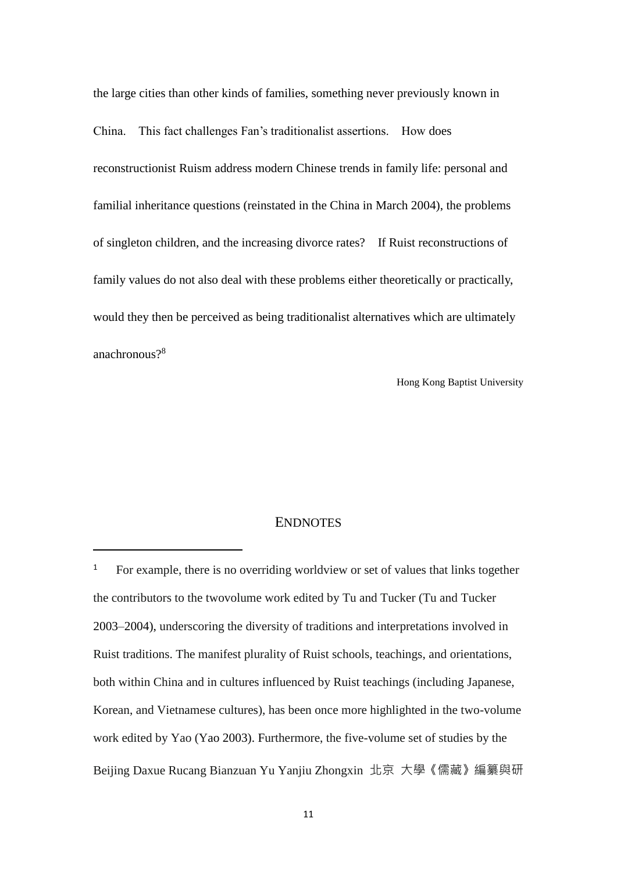the large cities than other kinds of families, something never previously known in China. This fact challenges Fan's traditionalist assertions. How does reconstructionist Ruism address modern Chinese trends in family life: personal and familial inheritance questions (reinstated in the China in March 2004), the problems of singleton children, and the increasing divorce rates? If Ruist reconstructions of family values do not also deal with these problems either theoretically or practically, would they then be perceived as being traditionalist alternatives which are ultimately anachronous?<sup>8</sup>

Hong Kong Baptist University

# **ENDNOTES**

-

<sup>1</sup> For example, there is no overriding worldview or set of values that links together the contributors to the twovolume work edited by Tu and Tucker (Tu and Tucker 2003–2004), underscoring the diversity of traditions and interpretations involved in Ruist traditions. The manifest plurality of Ruist schools, teachings, and orientations, both within China and in cultures influenced by Ruist teachings (including Japanese, Korean, and Vietnamese cultures), has been once more highlighted in the two-volume work edited by Yao (Yao 2003). Furthermore, the five-volume set of studies by the Beijing Daxue Rucang Bianzuan Yu Yanjiu Zhongxin 北京 大學《儒藏》編纂與研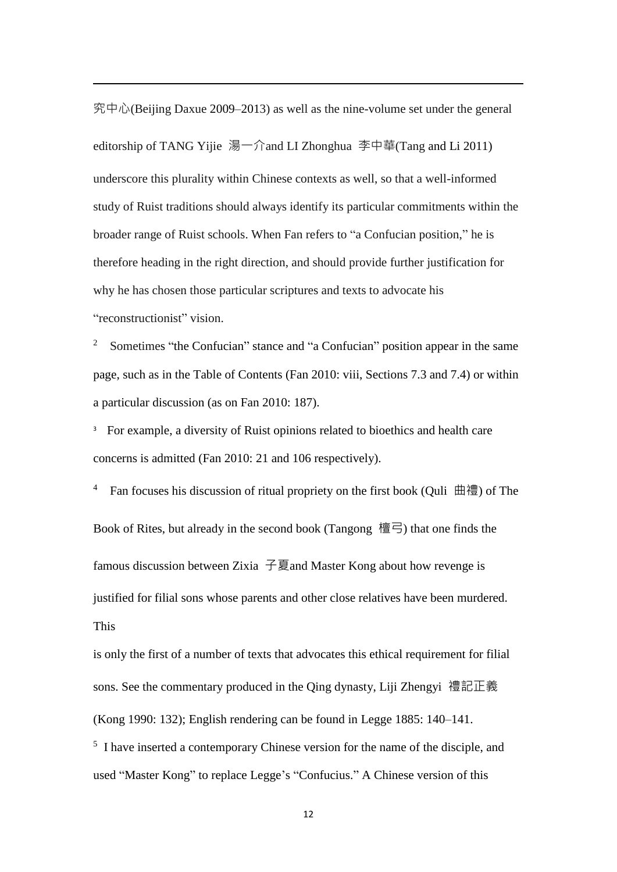究中心(Beijing Daxue 2009–2013) as well as the nine-volume set under the general editorship of TANG Yijie 湯一介and LI Zhonghua 李中華(Tang and Li 2011) underscore this plurality within Chinese contexts as well, so that a well-informed study of Ruist traditions should always identify its particular commitments within the broader range of Ruist schools. When Fan refers to "a Confucian position," he is therefore heading in the right direction, and should provide further justification for why he has chosen those particular scriptures and texts to advocate his "reconstructionist" vision.

-

2 Sometimes "the Confucian" stance and "a Confucian" position appear in the same page, such as in the Table of Contents (Fan 2010: viii, Sections 7.3 and 7.4) or within a particular discussion (as on Fan 2010: 187).

<sup>3</sup> For example, a diversity of Ruist opinions related to bioethics and health care concerns is admitted (Fan 2010: 21 and 106 respectively).

4 Fan focuses his discussion of ritual propriety on the first book (Quli 曲禮) of The Book of Rites, but already in the second book (Tangong 檀弓) that one finds the famous discussion between Zixia 子夏and Master Kong about how revenge is justified for filial sons whose parents and other close relatives have been murdered. This

is only the first of a number of texts that advocates this ethical requirement for filial sons. See the commentary produced in the Qing dynasty, Liji Zhengyi 禮記正義 (Kong 1990: 132); English rendering can be found in Legge 1885: 140–141.

<sup>5</sup> I have inserted a contemporary Chinese version for the name of the disciple, and used "Master Kong" to replace Legge's "Confucius." A Chinese version of this

12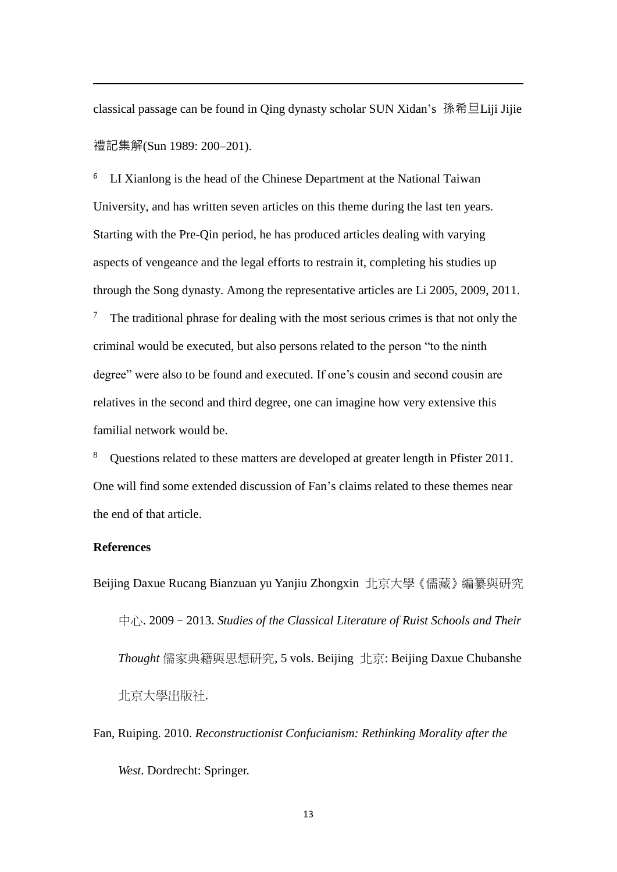classical passage can be found in Qing dynasty scholar SUN Xidan's 孫希旦Liji Jijie 禮記集解(Sun 1989: 200–201).

<sup>6</sup> LI Xianlong is the head of the Chinese Department at the National Taiwan University, and has written seven articles on this theme during the last ten years. Starting with the Pre-Qin period, he has produced articles dealing with varying aspects of vengeance and the legal efforts to restrain it, completing his studies up through the Song dynasty. Among the representative articles are Li 2005, 2009, 2011.

 $7$  The traditional phrase for dealing with the most serious crimes is that not only the criminal would be executed, but also persons related to the person "to the ninth degree" were also to be found and executed. If one's cousin and second cousin are relatives in the second and third degree, one can imagine how very extensive this familial network would be.

<sup>8</sup> Questions related to these matters are developed at greater length in Pfister 2011. One will find some extended discussion of Fan's claims related to these themes near the end of that article.

# **References**

-

Beijing Daxue Rucang Bianzuan yu Yanjiu Zhongxin 北京大學《儒藏》編纂與研究 中心. 2009–2013. *Studies of the Classical Literature of Ruist Schools and Their Thought* 儒家典籍與思想研究, 5 vols. Beijing 北京: Beijing Daxue Chubanshe 北京大學出版社.

Fan, Ruiping. 2010. *Reconstructionist Confucianism: Rethinking Morality after the West*. Dordrecht: Springer.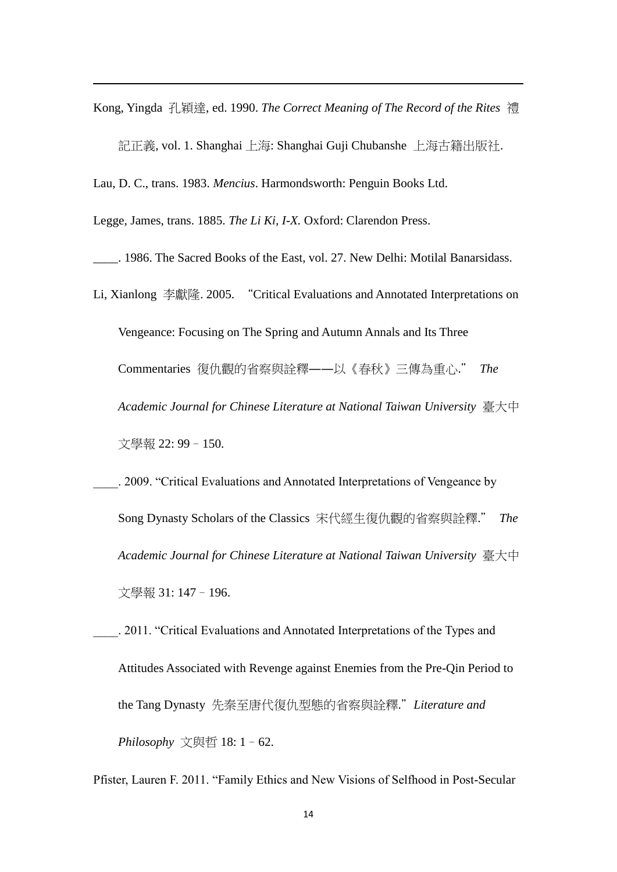Kong, Yingda 孔穎達, ed. 1990. *The Correct Meaning of The Record of the Rites* 禮 記正義, vol. 1. Shanghai 上海: Shanghai Guji Chubanshe 上海古籍出版社.

Lau, D. C., trans. 1983. *Mencius*. Harmondsworth: Penguin Books Ltd.

Legge, James, trans. 1885. *The Li Ki, I-X.* Oxford: Clarendon Press.

-

\_\_\_\_. 1986. The Sacred Books of the East, vol. 27. New Delhi: Motilal Banarsidass.

- Li, Xianlong 李獻隆. 2005. "Critical Evaluations and Annotated Interpretations on Vengeance: Focusing on The Spring and Autumn Annals and Its Three Commentaries 復仇觀的省察與詮釋――以《春秋》三傳為重心." *The Academic Journal for Chinese Literature at National Taiwan University* 臺大中 文學報 22: 99–150.
	- \_\_\_\_. 2009. "Critical Evaluations and Annotated Interpretations of Vengeance by Song Dynasty Scholars of the Classics 宋代經生復仇觀的省察與詮釋." *The Academic Journal for Chinese Literature at National Taiwan University* 臺大中 文學報 31: 147–196.
- \_\_\_\_. 2011. "Critical Evaluations and Annotated Interpretations of the Types and Attitudes Associated with Revenge against Enemies from the Pre-Qin Period to the Tang Dynasty 先秦至唐代復仇型態的省察與詮釋."*Literature and Philosophy* 文與哲 18: 1–62.

Pfister, Lauren F. 2011. "Family Ethics and New Visions of Selfhood in Post-Secular